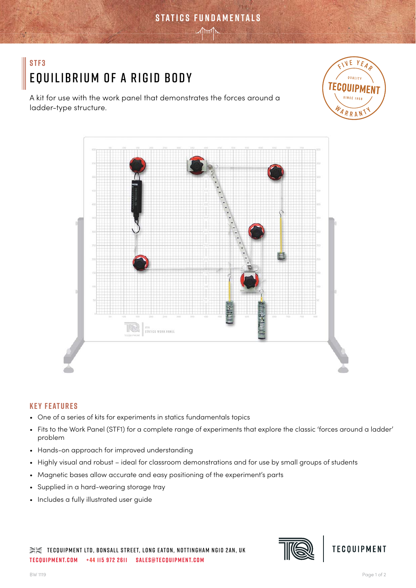# **stf3** Equilibrium of a Rigid Body

A kit for use with the work panel that demonstrates the forces around a ladder-type structure.





**statics fundamentals**

 $\mathcal{M}$ 

# **Key Features**

- One of a series of kits for experiments in statics fundamentals topics
- Fits to the Work Panel (STF1) for a complete range of experiments that explore the classic 'forces around a ladder' problem
- Hands-on approach for improved understanding
- Highly visual and robust ideal for classroom demonstrations and for use by small groups of students
- Magnetic bases allow accurate and easy positioning of the experiment's parts
- Supplied in a hard-wearing storage tray
- Includes a fully illustrated user guide

 $\gg\ll$  tecquipment LTD, Bonsall Street, LONG EATON, NOTTINGHAM NG10 2AN, UK **tecquipment.com +44 115 972 2611 sales@tecquipment.com**